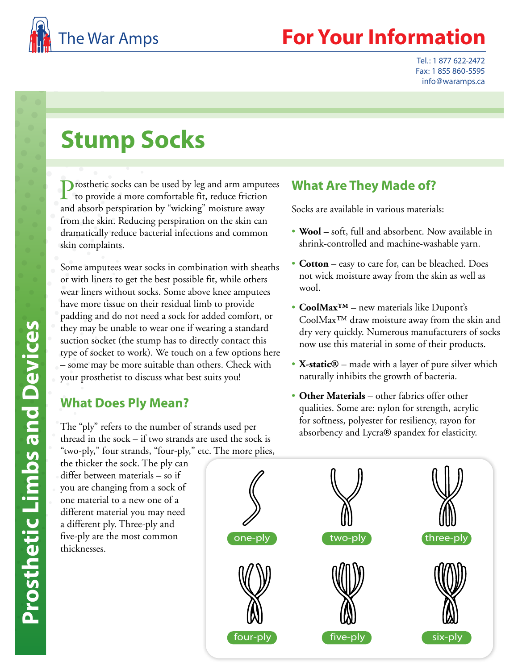

## **Your Information**

Tel.: 1 877 622-2472 Fax: 1 855 860-5595 info@waramps.ca

# **Stump Socks**

Prosthetic socks can be used by leg and arm amputees to provide a more comfortable fit, reduce friction and absorb perspiration by "wicking" moisture away from the skin. Reducing perspiration on the skin can dramatically reduce bacterial infections and common skin complaints.

Some amputees wear socks in combination with sheaths or with liners to get the best possible fit, while others wear liners without socks. Some above knee amputees have more tissue on their residual limb to provide padding and do not need a sock for added comfort, or they may be unable to wear one if wearing a standard suction socket (the stump has to directly contact this type of socket to work). We touch on a few options here – some may be more suitable than others. Check with your prosthetist to discuss what best suits you!

#### **What Does Ply Mean?**

The "ply" refers to the number of strands used per thread in the sock – if two strands are used the sock is "two-ply," four strands, "four-ply," etc. The more plies,

the thicker the sock. The ply can differ between materials – so if you are changing from a sock of one material to a new one of a different material you may need a different ply. Three-ply and five-ply are the most common thicknesses.

#### **What Are They Made of?**

- Socks are available in various materials: **Wool** soft, full and absorbent. Now available in shrink-controlled and machine-washable yarn.
- **Cotton** easy to care for, can be bleached. Does not wick moisture away from the skin as well as wool.
- **CoolMax™** new materials like Dupont's CoolMax™ draw moisture away from the skin and dry very quickly. Numerous manufacturers of socks now use this material in some of their products.
- **X-static®** made with a layer of pure silver which naturally inhibits the growth of bacteria.
- **Other Materials** other fabrics offer other qualities. Some are: nylon for strength, acrylic for softness, polyester for resiliency, rayon for absorbency and Lycra® spandex for elasticity.